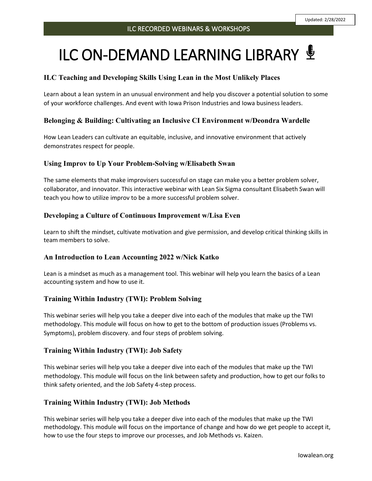Updated: 2/28/2022

# ILC ON-DEMAND LEARNING LIBRARY <sup>y</sup>

# **ILC Teaching and Developing Skills Using Lean in the Most Unlikely Places**

Learn about a lean system in an unusual environment and help you discover a potential solution to some of your workforce challenges. And event with Iowa Prison Industries and Iowa business leaders.

## **Belonging & Building: Cultivating an Inclusive CI Environment w/Deondra Wardelle**

How Lean Leaders can cultivate an equitable, inclusive, and innovative environment that actively demonstrates respect for people.

## **Using Improv to Up Your Problem-Solving w/Elisabeth Swan**

The same elements that make improvisers successful on stage can make you a better problem solver, collaborator, and innovator. This interactive webinar with Lean Six Sigma consultant Elisabeth Swan will teach you how to utilize improv to be a more successful problem solver.

# **Developing a Culture of Continuous Improvement w/Lisa Even**

Learn to shift the mindset, cultivate motivation and give permission, and develop critical thinking skills in team members to solve.

## **An Introduction to Lean Accounting 2022 w/Nick Katko**

Lean is a mindset as much as a management tool. This webinar will help you learn the basics of a Lean accounting system and how to use it.

## **Training Within Industry (TWI): Problem Solving**

This webinar series will help you take a deeper dive into each of the modules that make up the TWI methodology. This module will focus on how to get to the bottom of production issues (Problems vs. Symptoms), problem discovery. and four steps of problem solving.

## **Training Within Industry (TWI): Job Safety**

This webinar series will help you take a deeper dive into each of the modules that make up the TWI methodology. This module will focus on the link between safety and production, how to get our folks to think safety oriented, and the Job Safety 4-step process.

## **Training Within Industry (TWI): Job Methods**

This webinar series will help you take a deeper dive into each of the modules that make up the TWI methodology. This module will focus on the importance of change and how do we get people to accept it, how to use the four steps to improve our processes, and Job Methods vs. Kaizen.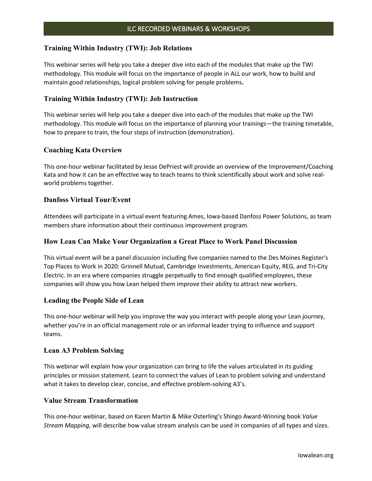#### **Training Within Industry (TWI): Job Relations**

This webinar series will help you take a deeper dive into each of the modules that make up the TWI methodology. This module will focus on the importance of people in ALL our work, how to build and maintain good relationships, logical problem solving for people problems**.** 

## **Training Within Industry (TWI): Job Instruction**

This webinar series will help you take a deeper dive into each of the modules that make up the TWI methodology. This module will focus on the importance of planning your trainings—the training timetable, how to prepare to train, the four steps of instruction (demonstration).

## **Coaching Kata Overview**

This one-hour webinar facilitated by Jesse DePriest will provide an overview of the Improvement/Coaching Kata and how it can be an effective way to teach teams to think scientifically about work and solve realworld problems together.

## **Danfoss Virtual Tour/Event**

Attendees will participate in a virtual event featuring Ames, Iowa-based Danfoss Power Solutions, as team members share information about their continuous improvement program.

#### **How Lean Can Make Your Organization a Great Place to Work Panel Discussion**

This virtual event will be a panel discussion including five companies named to the Des Moines Register's Top Places to Work in 2020: Grinnell Mutual, Cambridge Investments, American Equity, REG, and Tri-City Electric. In an era where companies struggle perpetually to find enough qualified employees, these companies will show you how Lean helped them improve their ability to attract new workers.

#### **Leading the People Side of Lean**

This one-hour webinar will help you improve the way you interact with people along your Lean journey, whether you're in an official management role or an informal leader trying to influence and support teams.

#### **Lean A3 Problem Solving**

This webinar will explain how your organization can bring to life the values articulated in its guiding principles or mission statement. Learn to connect the values of Lean to problem solving and understand what it takes to develop clear, concise, and effective problem-solving A3's.

#### **Value Stream Transformation**

This one-hour webinar, based on Karen Martin & Mike Osterling's Shingo Award-Winning book *Value Stream Mapping*, will describe how value stream analysis can be used in companies of all types and sizes.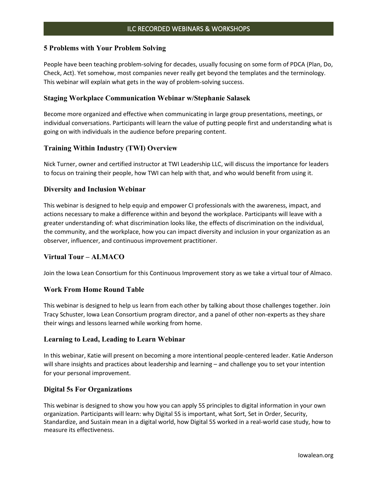#### **5 Problems with Your Problem Solving**

People have been teaching problem-solving for decades, usually focusing on some form of PDCA (Plan, Do, Check, Act). Yet somehow, most companies never really get beyond the templates and the terminology. This webinar will explain what gets in the way of problem-solving success.

#### **Staging Workplace Communication Webinar w/Stephanie Salasek**

Become more organized and effective when communicating in large group presentations, meetings, or individual conversations. Participants will learn the value of putting people first and understanding what is going on with individuals in the audience before preparing content.

#### **Training Within Industry (TWI) Overview**

Nick Turner, owner and certified instructor at TWI Leadership LLC, will discuss the importance for leaders to focus on training their people, how TWI can help with that, and who would benefit from using it.

#### **Diversity and Inclusion Webinar**

This webinar is designed to help equip and empower CI professionals with the awareness, impact, and actions necessary to make a difference within and beyond the workplace. Participants will leave with a greater understanding of: what discrimination looks like, the effects of discrimination on the individual, the community, and the workplace, how you can impact diversity and inclusion in your organization as an observer, influencer, and continuous improvement practitioner.

#### **Virtual Tour – ALMACO**

Join the Iowa Lean Consortium for this Continuous Improvement story as we take a virtual tour of Almaco.

#### **Work From Home Round Table**

This webinar is designed to help us learn from each other by talking about those challenges together. Join Tracy Schuster, Iowa Lean Consortium program director, and a panel of other non-experts as they share their wings and lessons learned while working from home.

#### **Learning to Lead, Leading to Learn Webinar**

In this webinar, Katie will present on becoming a more intentional people-centered leader. Katie Anderson will share insights and practices about leadership and learning – and challenge you to set your intention for your personal improvement.

#### **Digital 5s For Organizations**

This webinar is designed to show you how you can apply 5S principles to digital information in your own organization. Participants will learn: why Digital 5S is important, what Sort, Set in Order, Security, Standardize, and Sustain mean in a digital world, how Digital 5S worked in a real-world case study, how to measure its effectiveness.